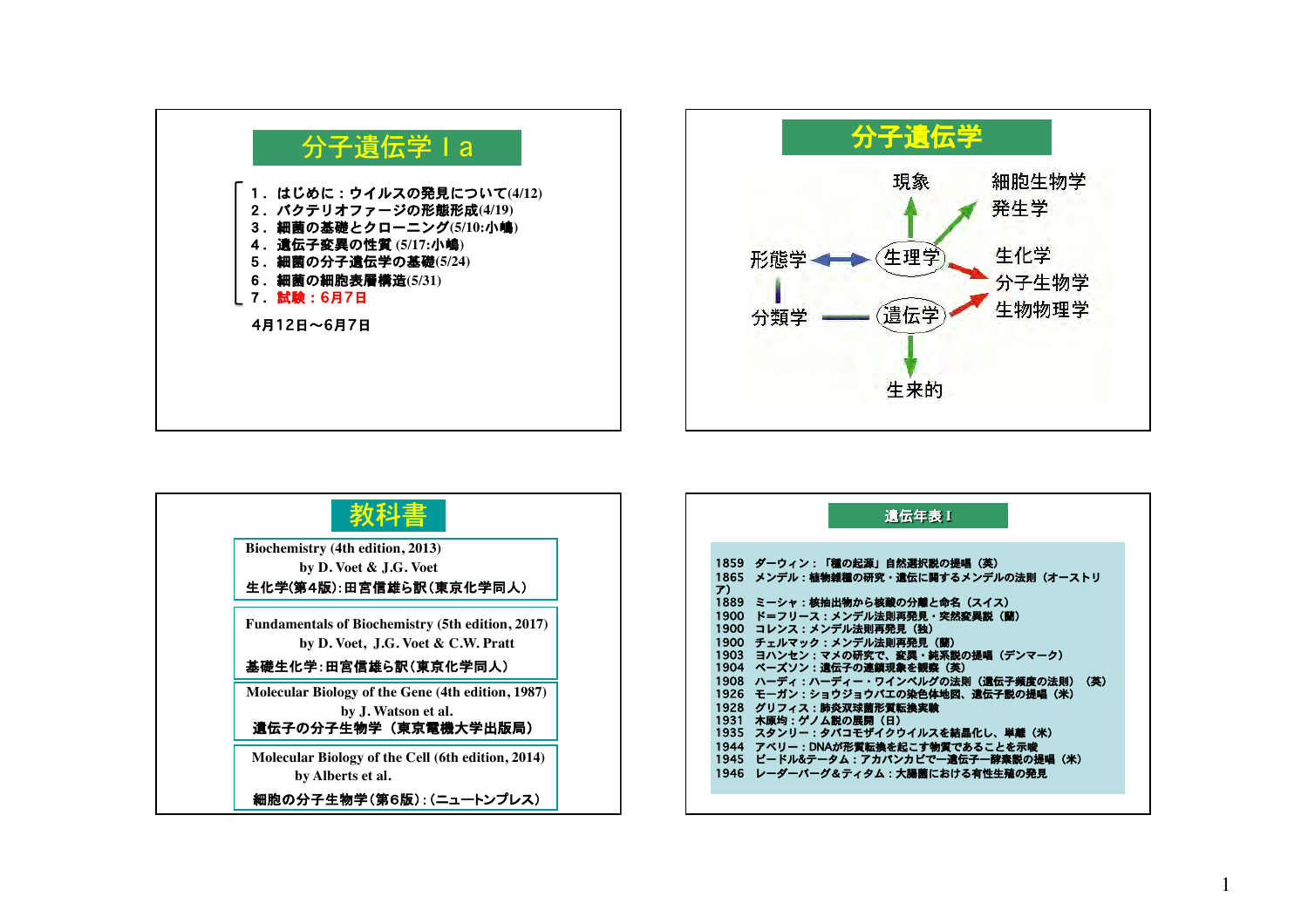



| Biochemistry (4th edition, 2013)<br>by D. Voet & J.G. Voet                                       |
|--------------------------------------------------------------------------------------------------|
| 生化学(第4版):田宮信雄ら訳(東京化学同人)                                                                          |
| <b>Fundamentals of Biochemistry (5th edition, 2017)</b><br>by D. Voet, J.G. Voet & C.W. Pratt    |
| 基礎生化学:田宮信雄ら訳(東京化学同人)                                                                             |
| Molecular Biology of the Gene (4th edition, 1987)<br>by J. Watson et al.<br>遺伝子の分子生物学(東京電機大学出版局) |
| Molecular Biology of the Cell (6th edition, 2014)<br>by Alberts et al.                           |
| 細胞の分子生物学(第6版):(ニュートンプレス)                                                                         |

|                      | 遺伝年表 1                                                                                          |
|----------------------|-------------------------------------------------------------------------------------------------|
| 1865                 | 1859 ダーウィン:「種の起源」自然選択説の提唱(英)                                                                    |
| ア)                   | <b>- メンデル : 植物雑種の研究・遺伝に関するメンデルの法則(オーストリ</b>                                                     |
| 1889                 | ミーシャ:核抽出物から核酸の分離と命名(スイス)                                                                        |
| 1900                 | ド=フリース:メンデル法則再発見・突然変異説(蘭)                                                                       |
| 1900                 | - コレンス:メンデル法則再発見(独)                                                                             |
| 1900                 | チェルマック:メンデル法則再発見(蘭)                                                                             |
| 1903                 | ヨハンセン:マメの研究で、変異・純系説の提唱(デンマーク)                                                                   |
| 1904<br>1908<br>1926 | ベーズソン:遺伝子の連鎖現象を観察(英)<br>ハーディ:ハーディー・ワインベルグの法則(遺伝子頻度の法則)<br>(英)<br>モーガン:ショウジョウバエの染色体地図、遺伝子説の提唱(米) |
| 1928                 | グリフィス:肺炎双球菌形質転換実験                                                                               |
| 1931                 | 木原均:ゲノム説の展開 (日)                                                                                 |
| 1935                 | スタンリー:タバコモザイクウイルスを結晶化し、単離(米)                                                                    |
| 1944                 | アベリー:DNAが形質転換を起こす物質であることを示唆                                                                     |
| 1945                 | - ビードル&テータム:アカパンカビで一遺伝子一酵素説の提唱(米)                                                               |
| 1946                 | レーダーバーグ&ティタム:大腸菌における有性生殖の発見                                                                     |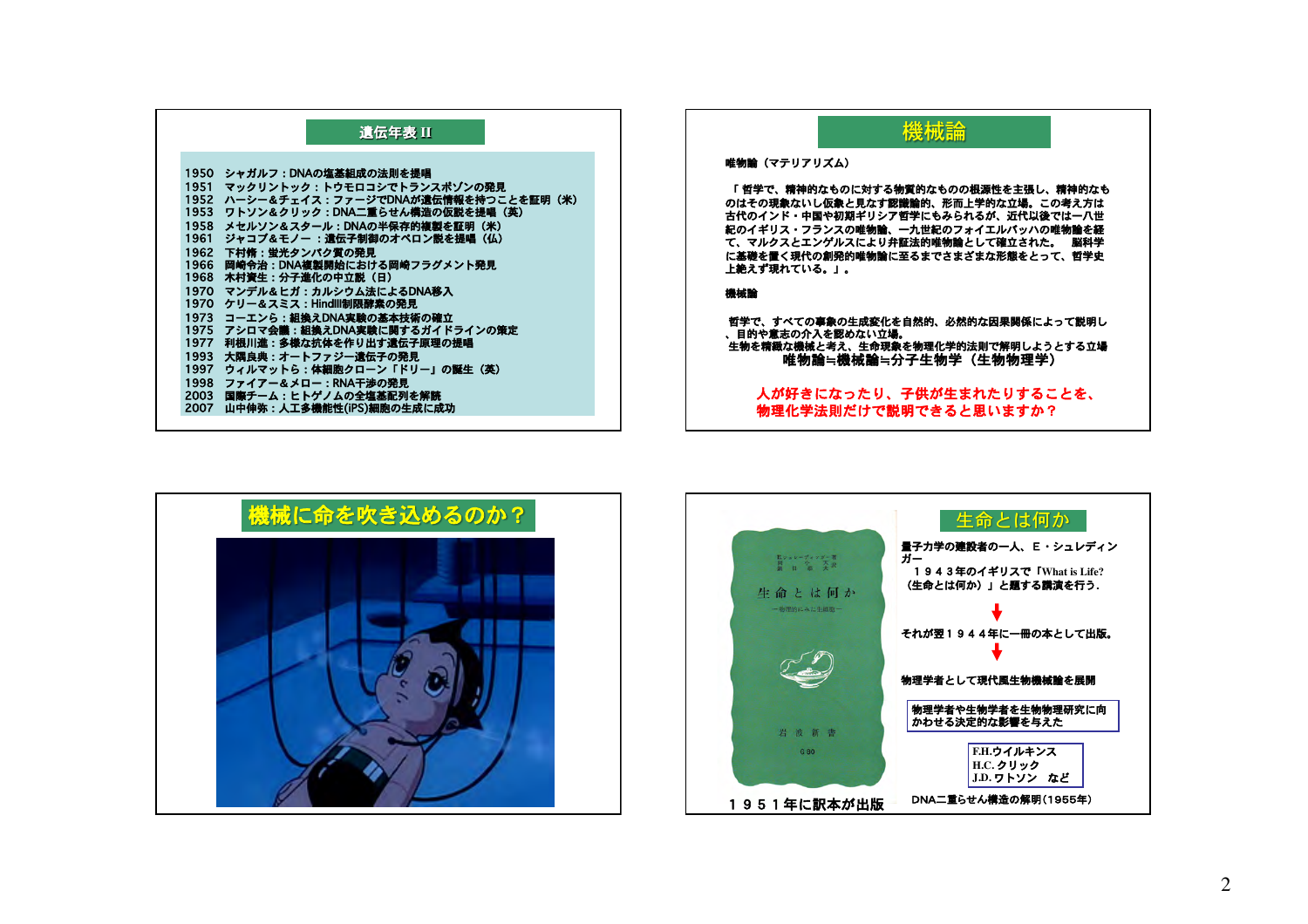## 遺伝年表 II

| 1950 | シャガルフ:DNAの塩基組成の法則を提唱               |
|------|------------------------------------|
| 1951 | マックリントック:トウモロコシでトランスポゾンの発見         |
| 1952 | ハーシー&チェイス:ファージでDNAが遺伝情報を持つことを証明(米) |
| 1953 | ワトソン&クリック:DNA二重らせん構造の仮説を提唱(英)      |
| 1958 | メセルソン&スタール:DNAの半保存的複製を証明(米)        |
| 1961 | ジャコブ&モノー :遺伝子制御のオペロン説を提唱(仏)        |
| 1962 | 下村脩:蛍光タンパク質の発見                     |
| 1966 | 岡崎令治:DNA複製開始における岡崎フラグメント発見         |
| 1968 | 木村資生:分子進化の中立説(日)                   |
| 1970 | マンデル&ヒガ:カルシウム法によるDNA移入             |
| 1970 | ケリー&スミス:HindIII制限酵素の発見             |
| 1973 | コーエンら:組換えDNA実験の基本技術の確立             |
| 1975 | アシロマ会議:組換えDNA実験に関するガイドラインの策定       |
| 1977 | 利根川進:多様な抗体を作り出す遺伝子原理の提唱            |
| 1993 | 大隅良典:オートファジー遺伝子の発見                 |
| 1997 | ウィルマットら:体細胞クローン「ドリー」の誕生(英)         |
| 1998 | ファイアー&メロー:RNA干渉の発見                 |
| 2003 | 国際チーム:ヒトゲノムの全塩基配列を解読               |
| 2007 | 山中伸弥:人工多機能性(iPS)細胞の生成に成功           |
|      |                                    |

## 機械論

## 唯物論 (マテリアリズム)

「哲学で、精神的なものに対する物質的なものの根源性を主張し、精神的なも のはその現象ないし仮象と見なす認識論的、形而上学的な立場。この考え方は<br>古代のインド・中国や初期ギリシア哲学にもみられるが、近代以後では一八世 紀のイギリス・フランスの唯物論、一九世紀のフォイエルバッハの唯物論を経 て、マルクスとエンゲルスにより弁証法的唯物論として確立された。 脳科学 に基礎を置く現代の創発的唯物論に至るまでさまざまな形態をとって、哲学史 上絶えず現れている。」。

## 機械論

哲学で、すべての事象の生成変化を自然的、必然的な因果関係によって説明し 、目的や意志の介入を認めない立場。 生物を精緻な機械と考え、生命現象を物理化学的法則で解明しようとする立場 唯物論≒機械論≒分子生物学(生物物理学)

人が好きになったり、子供が生まれたりすることを、 物理化学法則だけで説明できると思いますか?



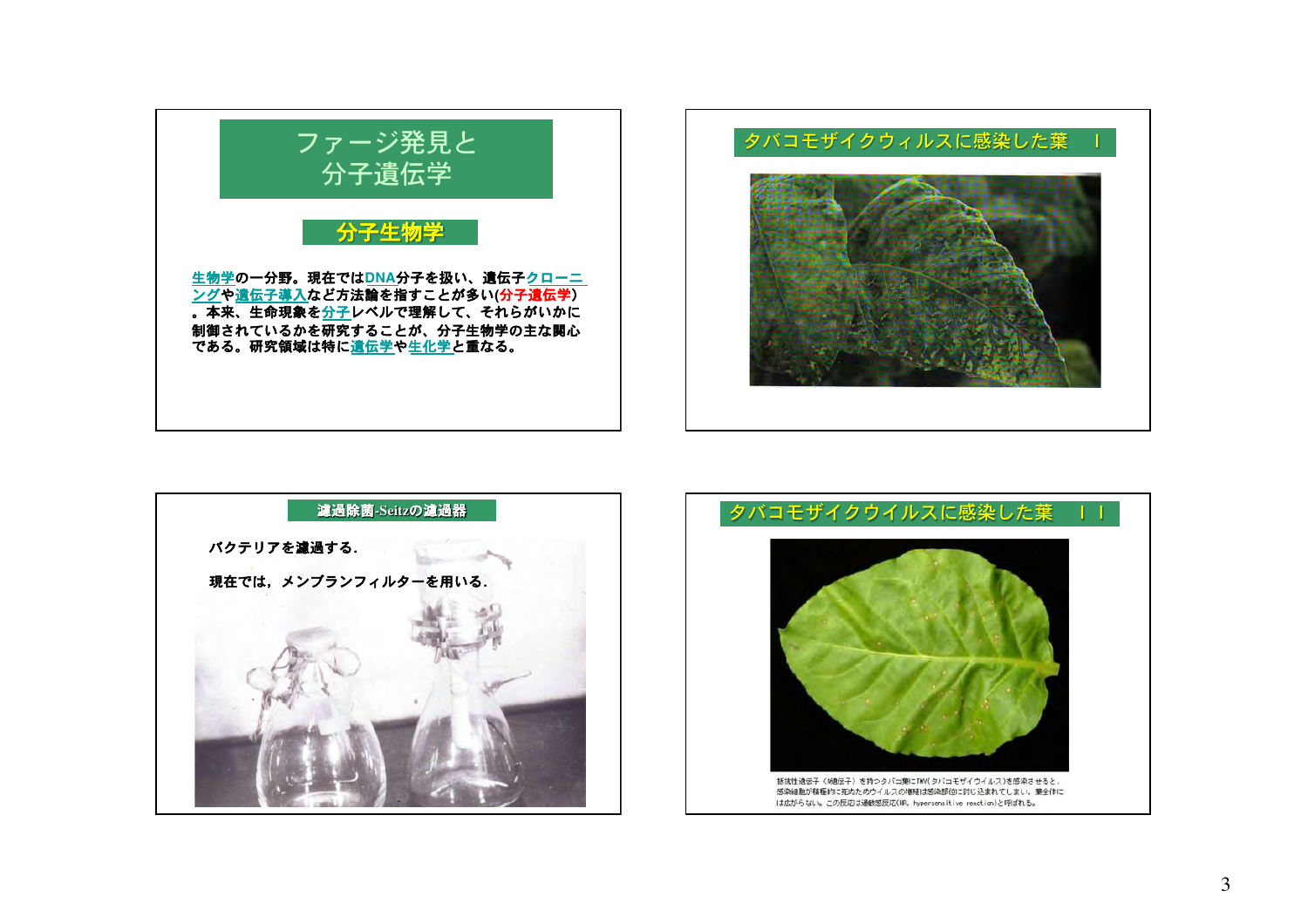





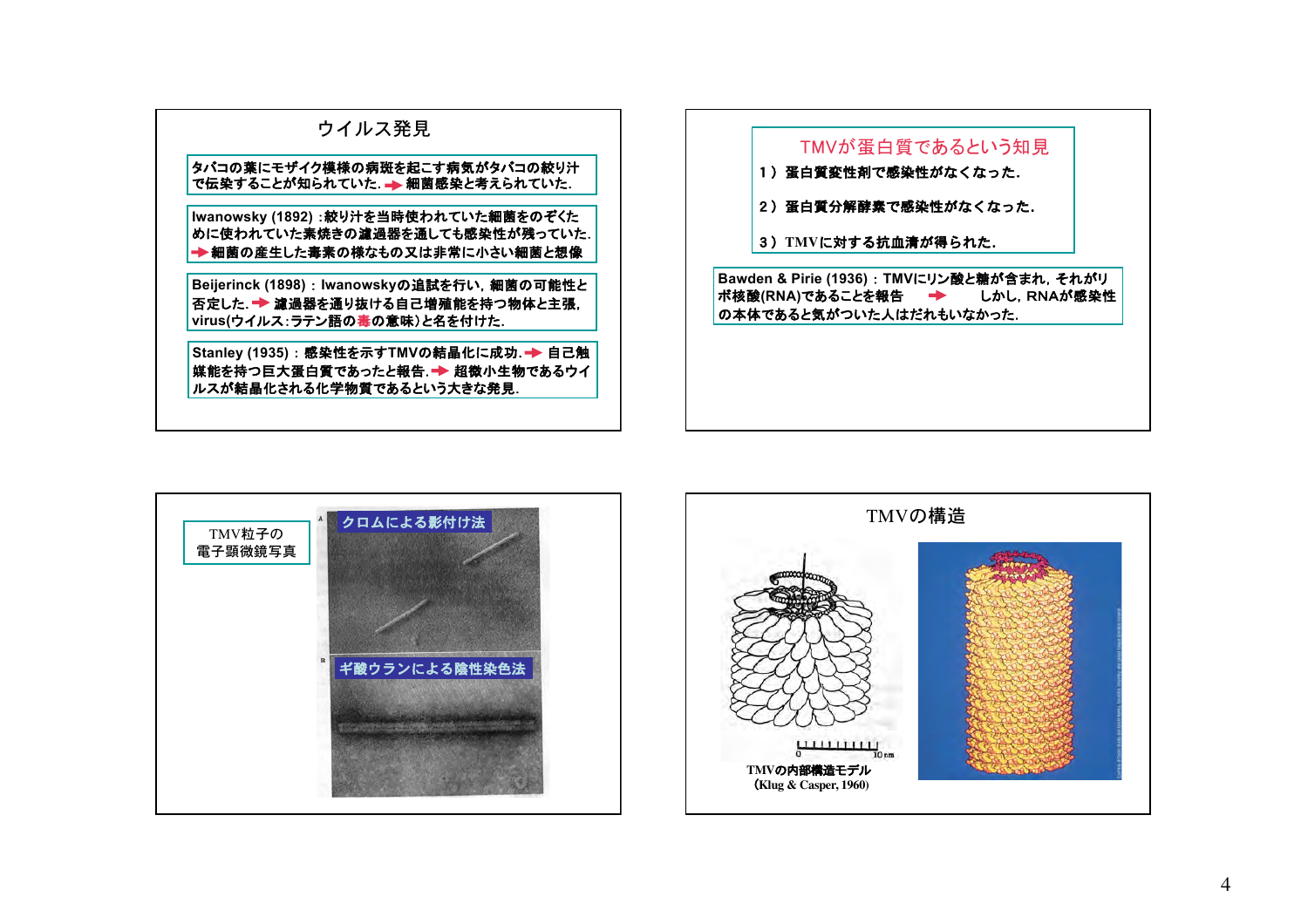